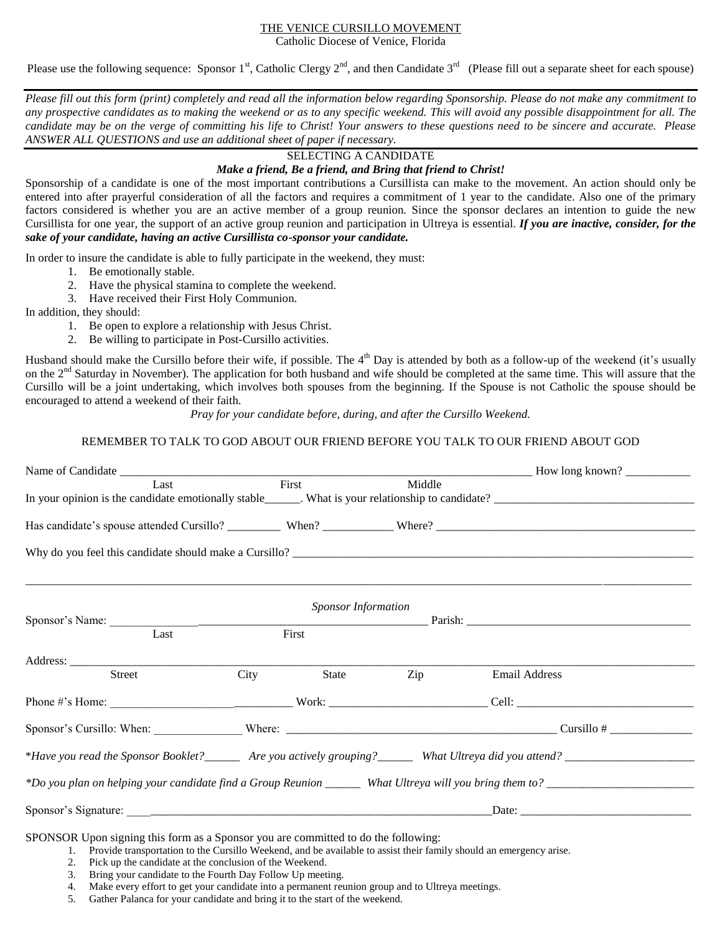#### THE VENICE CURSILLO MOVEMENT

Catholic Diocese of Venice, Florida

Please use the following sequence: Sponsor 1<sup>st</sup>, Catholic Clergy 2<sup>nd</sup>, and then Candidate 3<sup>rd</sup> (Please fill out a separate sheet for each spouse)

*Please fill out this form (print) completely and read all the information below regarding Sponsorship. Please do not make any commitment to any prospective candidates as to making the weekend or as to any specific weekend. This will avoid any possible disappointment for all. The candidate may be on the verge of committing his life to Christ! Your answers to these questions need to be sincere and accurate. Please ANSWER ALL QUESTIONS and use an additional sheet of paper if necessary.*

## SELECTING A CANDIDATE

#### *Make a friend, Be a friend, and Bring that friend to Christ!*

Sponsorship of a candidate is one of the most important contributions a Cursillista can make to the movement. An action should only be entered into after prayerful consideration of all the factors and requires a commitment of 1 year to the candidate. Also one of the primary factors considered is whether you are an active member of a group reunion. Since the sponsor declares an intention to guide the new Cursillista for one year, the support of an active group reunion and participation in Ultreya is essential. *If you are inactive, consider, for the sake of your candidate, having an active Cursillista co-sponsor your candidate.*

In order to insure the candidate is able to fully participate in the weekend, they must:

- 1. Be emotionally stable.
- 2. Have the physical stamina to complete the weekend.
- 3. Have received their First Holy Communion.

In addition, they should:

- 1. Be open to explore a relationship with Jesus Christ.
- 2. Be willing to participate in Post-Cursillo activities.

Husband should make the Cursillo before their wife, if possible. The  $4<sup>th</sup>$  Day is attended by both as a follow-up of the weekend (it's usually on the 2<sup>nd</sup> Saturday in November). The application for both husband and wife should be completed at the same time. This will assure that the Cursillo will be a joint undertaking, which involves both spouses from the beginning. If the Spouse is not Catholic the spouse should be encouraged to attend a weekend of their faith.

*Pray for your candidate before, during, and after the Cursillo Weekend.*

### REMEMBER TO TALK TO GOD ABOUT OUR FRIEND BEFORE YOU TALK TO OUR FRIEND ABOUT GOD

|                                                                                                                                                                                                                                                                                                                                                                                      |      |       |     | How long known?      |  |  |  |  |  |
|--------------------------------------------------------------------------------------------------------------------------------------------------------------------------------------------------------------------------------------------------------------------------------------------------------------------------------------------------------------------------------------|------|-------|-----|----------------------|--|--|--|--|--|
| First<br>Middle<br>Last                                                                                                                                                                                                                                                                                                                                                              |      |       |     |                      |  |  |  |  |  |
|                                                                                                                                                                                                                                                                                                                                                                                      |      |       |     |                      |  |  |  |  |  |
|                                                                                                                                                                                                                                                                                                                                                                                      |      |       |     |                      |  |  |  |  |  |
|                                                                                                                                                                                                                                                                                                                                                                                      |      |       |     |                      |  |  |  |  |  |
| <b>Sponsor Information</b>                                                                                                                                                                                                                                                                                                                                                           |      |       |     |                      |  |  |  |  |  |
| Last                                                                                                                                                                                                                                                                                                                                                                                 |      | First |     |                      |  |  |  |  |  |
|                                                                                                                                                                                                                                                                                                                                                                                      |      |       |     |                      |  |  |  |  |  |
| Street                                                                                                                                                                                                                                                                                                                                                                               | City | State | Zip | <b>Email Address</b> |  |  |  |  |  |
|                                                                                                                                                                                                                                                                                                                                                                                      |      |       |     |                      |  |  |  |  |  |
|                                                                                                                                                                                                                                                                                                                                                                                      |      |       |     |                      |  |  |  |  |  |
|                                                                                                                                                                                                                                                                                                                                                                                      |      |       |     |                      |  |  |  |  |  |
|                                                                                                                                                                                                                                                                                                                                                                                      |      |       |     |                      |  |  |  |  |  |
|                                                                                                                                                                                                                                                                                                                                                                                      |      |       |     |                      |  |  |  |  |  |
| $\overline{a}$ $\overline{a}$ $\overline{a}$ $\overline{a}$ $\overline{a}$ $\overline{a}$ $\overline{a}$ $\overline{a}$ $\overline{a}$ $\overline{a}$ $\overline{a}$ $\overline{a}$ $\overline{a}$ $\overline{a}$ $\overline{a}$ $\overline{a}$ $\overline{a}$ $\overline{a}$ $\overline{a}$ $\overline{a}$ $\overline{a}$ $\overline{a}$ $\overline{a}$ $\overline{a}$ $\overline{$ |      |       |     |                      |  |  |  |  |  |

SPONSOR Upon signing this form as a Sponsor you are committed to do the following:

1. Provide transportation to the Cursillo Weekend, and be available to assist their family should an emergency arise.

- 2. Pick up the candidate at the conclusion of the Weekend.
- 3. Bring your candidate to the Fourth Day Follow Up meeting.
- 4. Make every effort to get your candidate into a permanent reunion group and to Ultreya meetings.
- 5. Gather Palanca for your candidate and bring it to the start of the weekend.